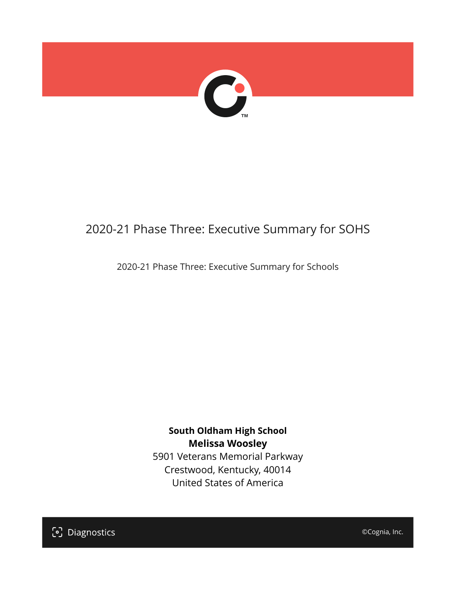

## 2020-21 Phase Three: Executive Summary for SOHS

2020-21 Phase Three: Executive Summary for Schools

**South Oldham High School Melissa Woosley** 5901 Veterans Memorial Parkway Crestwood, Kentucky, 40014 United States of America

[၁] Diagnostics

©Cognia, Inc.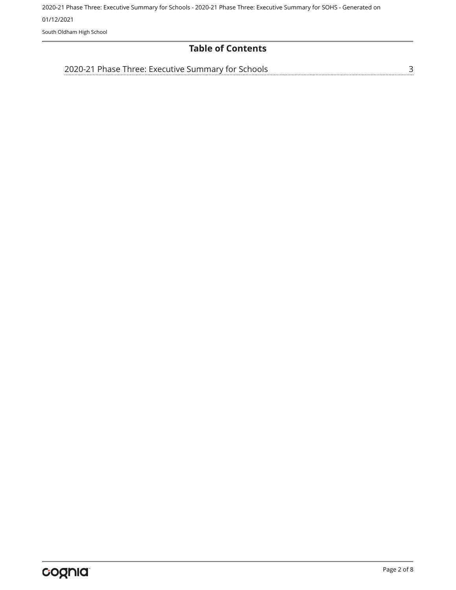2020-21 Phase Three: Executive Summary for Schools - 2020-21 Phase Three: Executive Summary for SOHS - Generated on 01/12/2021 South Oldham High School

**Table of Contents**

[2020-21 Phase Three: Executive Summary for Schools](#page-2-0)

[3](#page-2-0)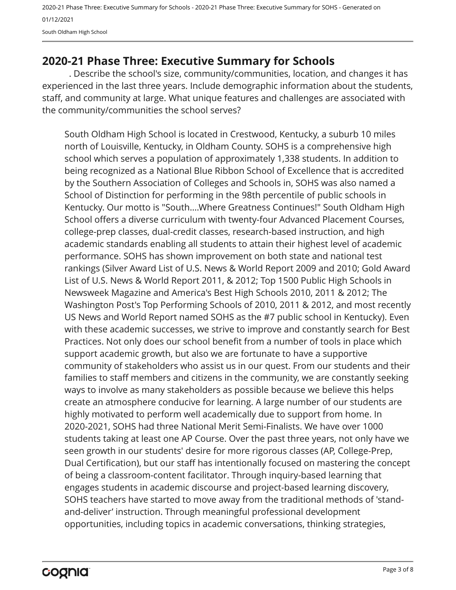2020-21 Phase Three: Executive Summary for Schools - 2020-21 Phase Three: Executive Summary for SOHS - Generated on 01/12/2021 South Oldham High School

## <span id="page-2-0"></span>**2020-21 Phase Three: Executive Summary for Schools**

. Describe the school's size, community/communities, location, and changes it has experienced in the last three years. Include demographic information about the students, staff, and community at large. What unique features and challenges are associated with the community/communities the school serves?

South Oldham High School is located in Crestwood, Kentucky, a suburb 10 miles north of Louisville, Kentucky, in Oldham County. SOHS is a comprehensive high school which serves a population of approximately 1,338 students. In addition to being recognized as a National Blue Ribbon School of Excellence that is accredited by the Southern Association of Colleges and Schools in, SOHS was also named a School of Distinction for performing in the 98th percentile of public schools in Kentucky. Our motto is "South….Where Greatness Continues!" South Oldham High School offers a diverse curriculum with twenty-four Advanced Placement Courses, college-prep classes, dual-credit classes, research-based instruction, and high academic standards enabling all students to attain their highest level of academic performance. SOHS has shown improvement on both state and national test rankings (Silver Award List of U.S. News & World Report 2009 and 2010; Gold Award List of U.S. News & World Report 2011, & 2012; Top 1500 Public High Schools in Newsweek Magazine and America's Best High Schools 2010, 2011 & 2012; The Washington Post's Top Performing Schools of 2010, 2011 & 2012, and most recently US News and World Report named SOHS as the #7 public school in Kentucky). Even with these academic successes, we strive to improve and constantly search for Best Practices. Not only does our school benefit from a number of tools in place which support academic growth, but also we are fortunate to have a supportive community of stakeholders who assist us in our quest. From our students and their families to staff members and citizens in the community, we are constantly seeking ways to involve as many stakeholders as possible because we believe this helps create an atmosphere conducive for learning. A large number of our students are highly motivated to perform well academically due to support from home. In 2020-2021, SOHS had three National Merit Semi-Finalists. We have over 1000 students taking at least one AP Course. Over the past three years, not only have we seen growth in our students' desire for more rigorous classes (AP, College-Prep, Dual Certification), but our staff has intentionally focused on mastering the concept of being a classroom-content facilitator. Through inquiry-based learning that engages students in academic discourse and project-based learning discovery, SOHS teachers have started to move away from the traditional methods of 'standand-deliver' instruction. Through meaningful professional development opportunities, including topics in academic conversations, thinking strategies,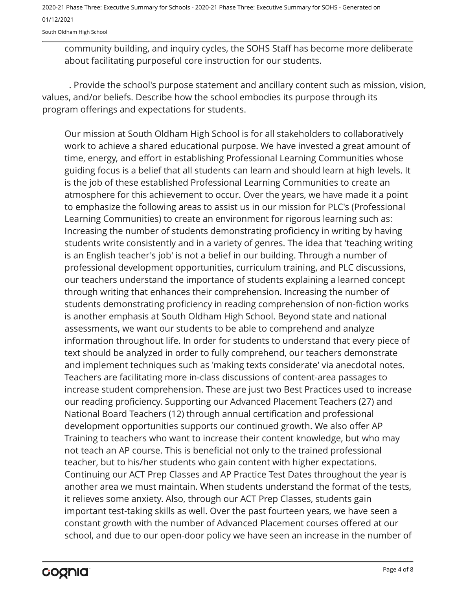South Oldham High School

community building, and inquiry cycles, the SOHS Staff has become more deliberate about facilitating purposeful core instruction for our students.

. Provide the school's purpose statement and ancillary content such as mission, vision, values, and/or beliefs. Describe how the school embodies its purpose through its program offerings and expectations for students.

Our mission at South Oldham High School is for all stakeholders to collaboratively work to achieve a shared educational purpose. We have invested a great amount of time, energy, and effort in establishing Professional Learning Communities whose guiding focus is a belief that all students can learn and should learn at high levels. It is the job of these established Professional Learning Communities to create an atmosphere for this achievement to occur. Over the years, we have made it a point to emphasize the following areas to assist us in our mission for PLC's (Professional Learning Communities) to create an environment for rigorous learning such as: Increasing the number of students demonstrating proficiency in writing by having students write consistently and in a variety of genres. The idea that 'teaching writing is an English teacher's job' is not a belief in our building. Through a number of professional development opportunities, curriculum training, and PLC discussions, our teachers understand the importance of students explaining a learned concept through writing that enhances their comprehension. Increasing the number of students demonstrating proficiency in reading comprehension of non-fiction works is another emphasis at South Oldham High School. Beyond state and national assessments, we want our students to be able to comprehend and analyze information throughout life. In order for students to understand that every piece of text should be analyzed in order to fully comprehend, our teachers demonstrate and implement techniques such as 'making texts considerate' via anecdotal notes. Teachers are facilitating more in-class discussions of content-area passages to increase student comprehension. These are just two Best Practices used to increase our reading proficiency. Supporting our Advanced Placement Teachers (27) and National Board Teachers (12) through annual certification and professional development opportunities supports our continued growth. We also offer AP Training to teachers who want to increase their content knowledge, but who may not teach an AP course. This is beneficial not only to the trained professional teacher, but to his/her students who gain content with higher expectations. Continuing our ACT Prep Classes and AP Practice Test Dates throughout the year is another area we must maintain. When students understand the format of the tests, it relieves some anxiety. Also, through our ACT Prep Classes, students gain important test-taking skills as well. Over the past fourteen years, we have seen a constant growth with the number of Advanced Placement courses offered at our school, and due to our open-door policy we have seen an increase in the number of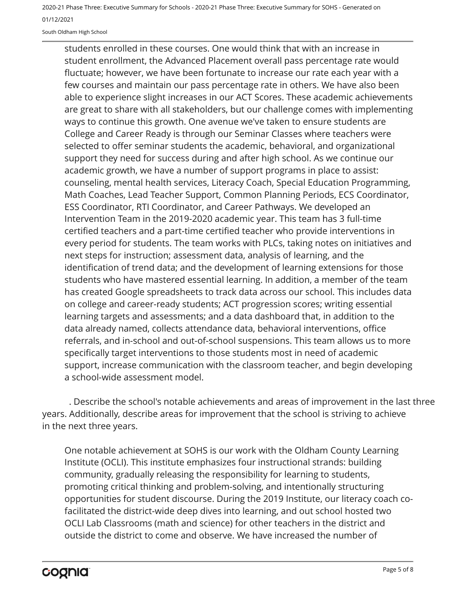South Oldham High School

students enrolled in these courses. One would think that with an increase in student enrollment, the Advanced Placement overall pass percentage rate would fluctuate; however, we have been fortunate to increase our rate each year with a few courses and maintain our pass percentage rate in others. We have also been able to experience slight increases in our ACT Scores. These academic achievements are great to share with all stakeholders, but our challenge comes with implementing ways to continue this growth. One avenue we've taken to ensure students are College and Career Ready is through our Seminar Classes where teachers were selected to offer seminar students the academic, behavioral, and organizational support they need for success during and after high school. As we continue our academic growth, we have a number of support programs in place to assist: counseling, mental health services, Literacy Coach, Special Education Programming, Math Coaches, Lead Teacher Support, Common Planning Periods, ECS Coordinator, ESS Coordinator, RTI Coordinator, and Career Pathways. We developed an Intervention Team in the 2019-2020 academic year. This team has 3 full-time certified teachers and a part-time certified teacher who provide interventions in every period for students. The team works with PLCs, taking notes on initiatives and next steps for instruction; assessment data, analysis of learning, and the identification of trend data; and the development of learning extensions for those students who have mastered essential learning. In addition, a member of the team has created Google spreadsheets to track data across our school. This includes data on college and career-ready students; ACT progression scores; writing essential learning targets and assessments; and a data dashboard that, in addition to the data already named, collects attendance data, behavioral interventions, office referrals, and in-school and out-of-school suspensions. This team allows us to more specifically target interventions to those students most in need of academic support, increase communication with the classroom teacher, and begin developing a school-wide assessment model.

. Describe the school's notable achievements and areas of improvement in the last three years. Additionally, describe areas for improvement that the school is striving to achieve in the next three years.

One notable achievement at SOHS is our work with the Oldham County Learning Institute (OCLI). This institute emphasizes four instructional strands: building community, gradually releasing the responsibility for learning to students, promoting critical thinking and problem-solving, and intentionally structuring opportunities for student discourse. During the 2019 Institute, our literacy coach cofacilitated the district-wide deep dives into learning, and out school hosted two OCLI Lab Classrooms (math and science) for other teachers in the district and outside the district to come and observe. We have increased the number of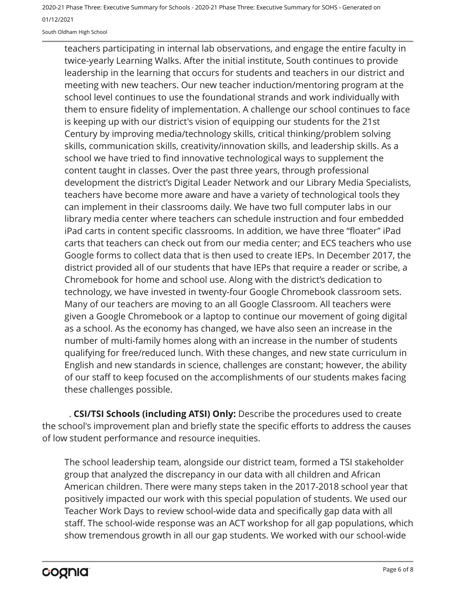South Oldham High School

teachers participating in internal lab observations, and engage the entire faculty in twice-yearly Learning Walks. After the initial institute, South continues to provide leadership in the learning that occurs for students and teachers in our district and meeting with new teachers. Our new teacher induction/mentoring program at the school level continues to use the foundational strands and work individually with them to ensure fidelity of implementation. A challenge our school continues to face is keeping up with our district's vision of equipping our students for the 21st Century by improving media/technology skills, critical thinking/problem solving skills, communication skills, creativity/innovation skills, and leadership skills. As a school we have tried to find innovative technological ways to supplement the content taught in classes. Over the past three years, through professional development the district's Digital Leader Network and our Library Media Specialists, teachers have become more aware and have a variety of technological tools they can implement in their classrooms daily. We have two full computer labs in our library media center where teachers can schedule instruction and four embedded iPad carts in content specific classrooms. In addition, we have three "floater" iPad carts that teachers can check out from our media center; and ECS teachers who use Google forms to collect data that is then used to create IEPs. In December 2017, the district provided all of our students that have IEPs that require a reader or scribe, a Chromebook for home and school use. Along with the district's dedication to technology, we have invested in twenty-four Google Chromebook classroom sets. Many of our teachers are moving to an all Google Classroom. All teachers were given a Google Chromebook or a laptop to continue our movement of going digital as a school. As the economy has changed, we have also seen an increase in the number of multi-family homes along with an increase in the number of students qualifying for free/reduced lunch. With these changes, and new state curriculum in English and new standards in science, challenges are constant; however, the ability of our staff to keep focused on the accomplishments of our students makes facing these challenges possible.

. **CSI/TSI Schools (including ATSI) Only:** Describe the procedures used to create the school's improvement plan and briefly state the specific efforts to address the causes of low student performance and resource inequities.

The school leadership team, alongside our district team, formed a TSI stakeholder group that analyzed the discrepancy in our data with all children and African American children. There were many steps taken in the 2017-2018 school year that positively impacted our work with this special population of students. We used our Teacher Work Days to review school-wide data and specifically gap data with all staff. The school-wide response was an ACT workshop for all gap populations, which show tremendous growth in all our gap students. We worked with our school-wide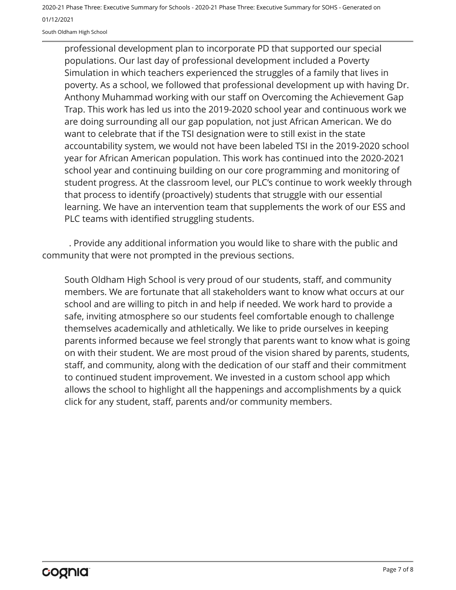South Oldham High School

professional development plan to incorporate PD that supported our special populations. Our last day of professional development included a Poverty Simulation in which teachers experienced the struggles of a family that lives in poverty. As a school, we followed that professional development up with having Dr. Anthony Muhammad working with our staff on Overcoming the Achievement Gap Trap. This work has led us into the 2019-2020 school year and continuous work we are doing surrounding all our gap population, not just African American. We do want to celebrate that if the TSI designation were to still exist in the state accountability system, we would not have been labeled TSI in the 2019-2020 school year for African American population. This work has continued into the 2020-2021 school year and continuing building on our core programming and monitoring of student progress. At the classroom level, our PLC's continue to work weekly through that process to identify (proactively) students that struggle with our essential learning. We have an intervention team that supplements the work of our ESS and PLC teams with identified struggling students.

. Provide any additional information you would like to share with the public and community that were not prompted in the previous sections.

South Oldham High School is very proud of our students, staff, and community members. We are fortunate that all stakeholders want to know what occurs at our school and are willing to pitch in and help if needed. We work hard to provide a safe, inviting atmosphere so our students feel comfortable enough to challenge themselves academically and athletically. We like to pride ourselves in keeping parents informed because we feel strongly that parents want to know what is going on with their student. We are most proud of the vision shared by parents, students, staff, and community, along with the dedication of our staff and their commitment to continued student improvement. We invested in a custom school app which allows the school to highlight all the happenings and accomplishments by a quick click for any student, staff, parents and/or community members.